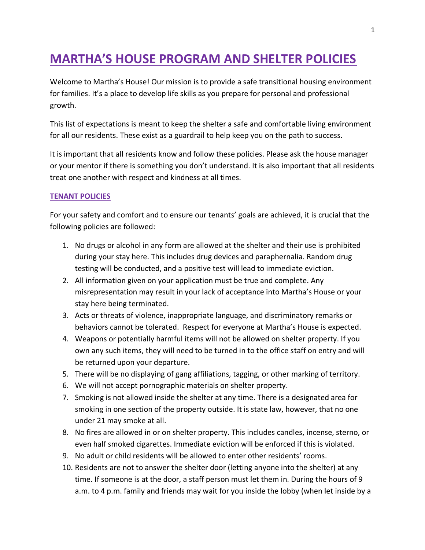# **MARTHA'S HOUSE PROGRAM AND SHELTER POLICIES**

Welcome to Martha's House! Our mission is to provide a safe transitional housing environment for families. It's a place to develop life skills as you prepare for personal and professional growth.

This list of expectations is meant to keep the shelter a safe and comfortable living environment for all our residents. These exist as a guardrail to help keep you on the path to success.

It is important that all residents know and follow these policies. Please ask the house manager or your mentor if there is something you don't understand. It is also important that all residents treat one another with respect and kindness at all times.

#### **TENANT POLICIES**

For your safety and comfort and to ensure our tenants' goals are achieved, it is crucial that the following policies are followed:

- 1. No drugs or alcohol in any form are allowed at the shelter and their use is prohibited during your stay here. This includes drug devices and paraphernalia. Random drug testing will be conducted, and a positive test will lead to immediate eviction.
- 2. All information given on your application must be true and complete. Any misrepresentation may result in your lack of acceptance into Martha's House or your stay here being terminated.
- 3. Acts or threats of violence, inappropriate language, and discriminatory remarks or behaviors cannot be tolerated. Respect for everyone at Martha's House is expected.
- 4. Weapons or potentially harmful items will not be allowed on shelter property. If you own any such items, they will need to be turned in to the office staff on entry and will be returned upon your departure.
- 5. There will be no displaying of gang affiliations, tagging, or other marking of territory.
- 6. We will not accept pornographic materials on shelter property.
- 7. Smoking is not allowed inside the shelter at any time. There is a designated area for smoking in one section of the property outside. It is state law, however, that no one under 21 may smoke at all.
- 8. No fires are allowed in or on shelter property. This includes candles, incense, sterno, or even half smoked cigarettes. Immediate eviction will be enforced if this is violated.
- 9. No adult or child residents will be allowed to enter other residents' rooms.
- 10. Residents are not to answer the shelter door (letting anyone into the shelter) at any time. If someone is at the door, a staff person must let them in. During the hours of 9 a.m. to 4 p.m. family and friends may wait for you inside the lobby (when let inside by a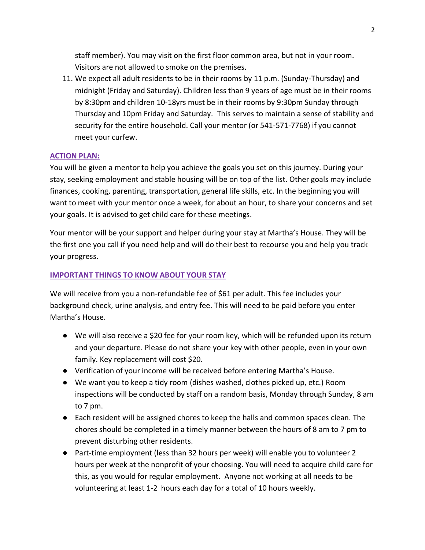staff member). You may visit on the first floor common area, but not in your room. Visitors are not allowed to smoke on the premises.

11. We expect all adult residents to be in their rooms by 11 p.m. (Sunday-Thursday) and midnight (Friday and Saturday). Children less than 9 years of age must be in their rooms by 8:30pm and children 10-18yrs must be in their rooms by 9:30pm Sunday through Thursday and 10pm Friday and Saturday. This serves to maintain a sense of stability and security for the entire household. Call your mentor (or 541-571-7768) if you cannot meet your curfew.

#### **ACTION PLAN:**

You will be given a mentor to help you achieve the goals you set on this journey. During your stay, seeking employment and stable housing will be on top of the list. Other goals may include finances, cooking, parenting, transportation, general life skills, etc. In the beginning you will want to meet with your mentor once a week, for about an hour, to share your concerns and set your goals. It is advised to get child care for these meetings.

Your mentor will be your support and helper during your stay at Martha's House. They will be the first one you call if you need help and will do their best to recourse you and help you track your progress.

#### **IMPORTANT THINGS TO KNOW ABOUT YOUR STAY**

We will receive from you a non-refundable fee of \$61 per adult. This fee includes your background check, urine analysis, and entry fee. This will need to be paid before you enter Martha's House.

- We will also receive a \$20 fee for your room key, which will be refunded upon its return and your departure. Please do not share your key with other people, even in your own family. Key replacement will cost \$20.
- Verification of your income will be received before entering Martha's House.
- We want you to keep a tidy room (dishes washed, clothes picked up, etc.) Room inspections will be conducted by staff on a random basis, Monday through Sunday, 8 am to 7 pm.
- Each resident will be assigned chores to keep the halls and common spaces clean. The chores should be completed in a timely manner between the hours of 8 am to 7 pm to prevent disturbing other residents.
- Part-time employment (less than 32 hours per week) will enable you to volunteer 2 hours per week at the nonprofit of your choosing. You will need to acquire child care for this, as you would for regular employment. Anyone not working at all needs to be volunteering at least 1-2 hours each day for a total of 10 hours weekly.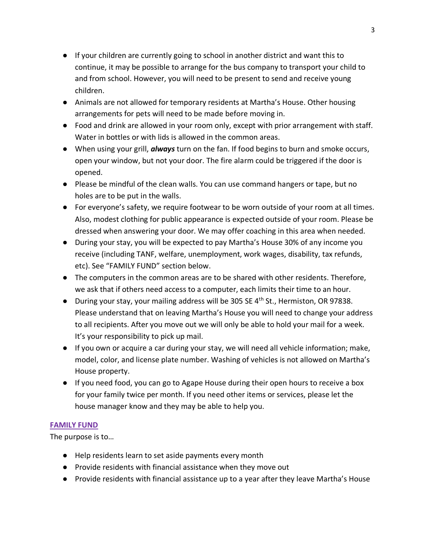- If your children are currently going to school in another district and want this to continue, it may be possible to arrange for the bus company to transport your child to and from school. However, you will need to be present to send and receive young children.
- Animals are not allowed for temporary residents at Martha's House. Other housing arrangements for pets will need to be made before moving in.
- Food and drink are allowed in your room only, except with prior arrangement with staff. Water in bottles or with lids is allowed in the common areas.
- When using your grill, *always* turn on the fan. If food begins to burn and smoke occurs, open your window, but not your door. The fire alarm could be triggered if the door is opened.
- Please be mindful of the clean walls. You can use command hangers or tape, but no holes are to be put in the walls.
- For everyone's safety, we require footwear to be worn outside of your room at all times. Also, modest clothing for public appearance is expected outside of your room. Please be dressed when answering your door. We may offer coaching in this area when needed.
- During your stay, you will be expected to pay Martha's House 30% of any income you receive (including TANF, welfare, unemployment, work wages, disability, tax refunds, etc). See "FAMILY FUND" section below.
- The computers in the common areas are to be shared with other residents. Therefore, we ask that if others need access to a computer, each limits their time to an hour.
- During your stay, your mailing address will be 305 SE 4<sup>th</sup> St., Hermiston, OR 97838. Please understand that on leaving Martha's House you will need to change your address to all recipients. After you move out we will only be able to hold your mail for a week. It's your responsibility to pick up mail.
- If you own or acquire a car during your stay, we will need all vehicle information; make, model, color, and license plate number. Washing of vehicles is not allowed on Martha's House property.
- If you need food, you can go to Agape House during their open hours to receive a box for your family twice per month. If you need other items or services, please let the house manager know and they may be able to help you.

### **FAMILY FUND**

The purpose is to…

- Help residents learn to set aside payments every month
- Provide residents with financial assistance when they move out
- Provide residents with financial assistance up to a year after they leave Martha's House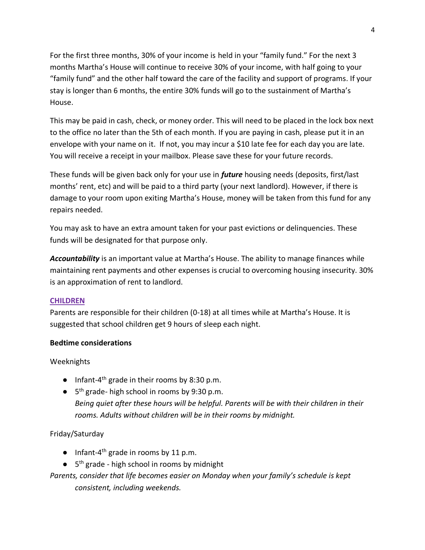For the first three months, 30% of your income is held in your "family fund." For the next 3 months Martha's House will continue to receive 30% of your income, with half going to your "family fund" and the other half toward the care of the facility and support of programs. If your stay is longer than 6 months, the entire 30% funds will go to the sustainment of Martha's House.

This may be paid in cash, check, or money order. This will need to be placed in the lock box next to the office no later than the 5th of each month. If you are paying in cash, please put it in an envelope with your name on it. If not, you may incur a \$10 late fee for each day you are late. You will receive a receipt in your mailbox. Please save these for your future records.

These funds will be given back only for your use in *future* housing needs (deposits, first/last months' rent, etc) and will be paid to a third party (your next landlord). However, if there is damage to your room upon exiting Martha's House, money will be taken from this fund for any repairs needed.

You may ask to have an extra amount taken for your past evictions or delinquencies. These funds will be designated for that purpose only.

*Accountability* is an important value at Martha's House. The ability to manage finances while maintaining rent payments and other expenses is crucial to overcoming housing insecurity. 30% is an approximation of rent to landlord.

### **CHILDREN**

Parents are responsible for their children (0-18) at all times while at Martha's House. It is suggested that school children get 9 hours of sleep each night.

### **Bedtime considerations**

Weeknights

- Infant-4<sup>th</sup> grade in their rooms by 8:30 p.m.
- 5<sup>th</sup> grade- high school in rooms by 9:30 p.m. *Being quiet after these hours will be helpful. Parents will be with their children in their rooms. Adults without children will be in their rooms by midnight.*

## Friday/Saturday

- $\bullet$  Infant-4<sup>th</sup> grade in rooms by 11 p.m.
- 5<sup>th</sup> grade high school in rooms by midnight
- *Parents, consider that life becomes easier on Monday when your family's schedule is kept consistent, including weekends.*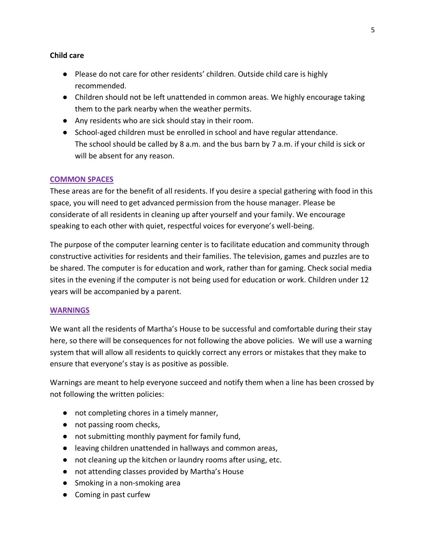#### **Child care**

- Please do not care for other residents' children. Outside child care is highly recommended.
- Children should not be left unattended in common areas. We highly encourage taking them to the park nearby when the weather permits.
- Any residents who are sick should stay in their room.
- School-aged children must be enrolled in school and have regular attendance. The school should be called by 8 a.m. and the bus barn by 7 a.m. if your child is sick or will be absent for any reason.

### **COMMON SPACES**

These areas are for the benefit of all residents. If you desire a special gathering with food in this space, you will need to get advanced permission from the house manager. Please be considerate of all residents in cleaning up after yourself and your family. We encourage speaking to each other with quiet, respectful voices for everyone's well-being.

The purpose of the computer learning center is to facilitate education and community through constructive activities for residents and their families. The television, games and puzzles are to be shared. The computer is for education and work, rather than for gaming. Check social media sites in the evening if the computer is not being used for education or work. Children under 12 years will be accompanied by a parent.

#### **WARNINGS**

We want all the residents of Martha's House to be successful and comfortable during their stay here, so there will be consequences for not following the above policies. We will use a warning system that will allow all residents to quickly correct any errors or mistakes that they make to ensure that everyone's stay is as positive as possible.

Warnings are meant to help everyone succeed and notify them when a line has been crossed by not following the written policies:

- not completing chores in a timely manner,
- not passing room checks,
- not submitting monthly payment for family fund,
- leaving children unattended in hallways and common areas,
- not cleaning up the kitchen or laundry rooms after using, etc.
- not attending classes provided by Martha's House
- Smoking in a non-smoking area
- Coming in past curfew